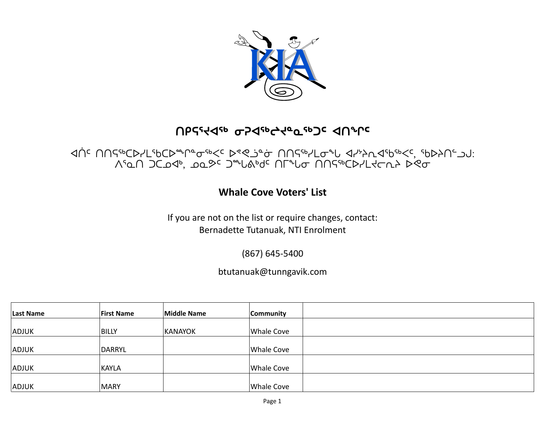

## **ᑎᑭᕋᕐᔪᐊᖅ ᓂᕈᐊᖅᖠᔪᓐᓇᖅᑐᑦ ᐊᑎᖏᑦ**

ᐊᑏᑦ ᑎᑎᕋᖅᑕᐅᓯᒪᖃᑕᐅᖖᒋᓐᓂᖅᐸᑦ ᐅᕝᕙᓘᓐᓃ ᑎᑎᕋᖅᓯᒪᓂᖓ ᐊᓯᔾᔨᕆᐊᖃᖅᐸᑦ, ᖃᐅᔨᑎᓪᓗᒍ: " A G a A SC and the actor is the Capta Change Change is the Changes and the Changes and the Changes A

## **Whale Cove Voters' List**

If you are not on the list or require changes, contact: Bernadette Tutanuak, NTI Enrolment

(867) 645-5400

btutanuak@tunngavik.com

| <b>Middle Name</b><br><b>First Name</b> | Community  |
|-----------------------------------------|------------|
|                                         | Whale Cove |
|                                         |            |
| DARRYL                                  | Whale Cove |
| <b>KAYLA</b>                            | Whale Cove |
|                                         | Whale Cove |
| <b>MARY</b>                             | KANAYOK    |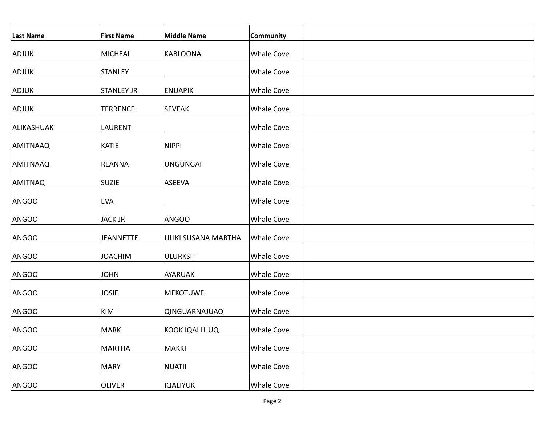| <b>Last Name</b> | <b>First Name</b> | <b>Middle Name</b>  | Community         |
|------------------|-------------------|---------------------|-------------------|
| ADJUK            | <b>MICHEAL</b>    | <b>KABLOONA</b>     | Whale Cove        |
| ADJUK            | <b>STANLEY</b>    |                     | <b>Whale Cove</b> |
| ADJUK            | <b>STANLEY JR</b> | <b>ENUAPIK</b>      | <b>Whale Cove</b> |
| ADJUK            | <b>TERRENCE</b>   | <b>SEVEAK</b>       | <b>Whale Cove</b> |
| ALIKASHUAK       | LAURENT           |                     | Whale Cove        |
| AMITNAAQ         | <b>KATIE</b>      | <b>NIPPI</b>        | <b>Whale Cove</b> |
| AMITNAAQ         | <b>REANNA</b>     | <b>UNGUNGAI</b>     | <b>Whale Cove</b> |
| <b>AMITNAQ</b>   | <b>SUZIE</b>      | ASEEVA              | Whale Cove        |
| ANGOO            | <b>EVA</b>        |                     | Whale Cove        |
| ANGOO            | <b>JACK JR</b>    | <b>ANGOO</b>        | <b>Whale Cove</b> |
| <b>ANGOO</b>     | <b>JEANNETTE</b>  | ULIKI SUSANA MARTHA | <b>Whale Cove</b> |
| <b>ANGOO</b>     | <b>JOACHIM</b>    | <b>ULURKSIT</b>     | <b>Whale Cove</b> |
| <b>ANGOO</b>     | <b>JOHN</b>       | <b>AYARUAK</b>      | Whale Cove        |
| ANGOO            | <b>JOSIE</b>      | <b>MEKOTUWE</b>     | Whale Cove        |
| ANGOO            | KIM               | QINGUARNAJUAQ       | Whale Cove        |
| ANGOO            | <b>MARK</b>       | KOOK IQALLIJUQ      | <b>Whale Cove</b> |
| <b>ANGOO</b>     | <b>MARTHA</b>     | MAKKI               | Whale Cove        |
| <b>ANGOO</b>     | <b>MARY</b>       | NUATII              | <b>Whale Cove</b> |
| ANGOO            | <b>OLIVER</b>     | <b>IQALIYUK</b>     | <b>Whale Cove</b> |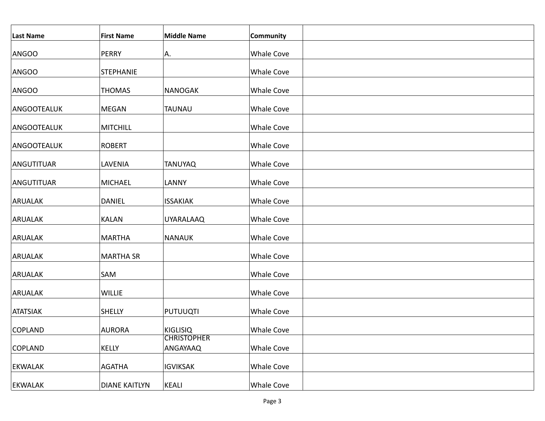| <b>Last Name</b> | <b>First Name</b>    | <b>Middle Name</b>             | Community         |
|------------------|----------------------|--------------------------------|-------------------|
| ANGOO            | <b>PERRY</b>         | A.                             | Whale Cove        |
| ANGOO            | STEPHANIE            |                                | <b>Whale Cove</b> |
| <b>ANGOO</b>     | <b>THOMAS</b>        | <b>NANOGAK</b>                 | <b>Whale Cove</b> |
| ANGOOTEALUK      | <b>MEGAN</b>         | <b>TAUNAU</b>                  | <b>Whale Cove</b> |
| ANGOOTEALUK      | <b>MITCHILL</b>      |                                | <b>Whale Cove</b> |
| ANGOOTEALUK      | <b>ROBERT</b>        |                                | <b>Whale Cove</b> |
| ANGUTITUAR       | LAVENIA              | <b>TANUYAQ</b>                 | <b>Whale Cove</b> |
| ANGUTITUAR       | <b>MICHAEL</b>       | LANNY                          | <b>Whale Cove</b> |
| ARUALAK          | <b>DANIEL</b>        | <b>ISSAKIAK</b>                | <b>Whale Cove</b> |
| ARUALAK          | <b>KALAN</b>         | <b>UYARALAAQ</b>               | <b>Whale Cove</b> |
| <b>ARUALAK</b>   | <b>MARTHA</b>        | <b>NANAUK</b>                  | <b>Whale Cove</b> |
| <b>ARUALAK</b>   | <b>MARTHA SR</b>     |                                | <b>Whale Cove</b> |
| <b>ARUALAK</b>   | SAM                  |                                | Whale Cove        |
| ARUALAK          | <b>WILLIE</b>        |                                | <b>Whale Cove</b> |
| <b>ATATSIAK</b>  | <b>SHELLY</b>        | <b>PUTUUQTI</b>                | <b>Whale Cove</b> |
| COPLAND          | <b>AURORA</b>        | <b>KIGLISIQ</b>                | <b>Whale Cove</b> |
| COPLAND          | KELLY                | <b>CHRISTOPHER</b><br>ANGAYAAQ | Whale Cove        |
| <b>EKWALAK</b>   | <b>AGATHA</b>        | <b>IGVIKSAK</b>                | Whale Cove        |
| EKWALAK          | <b>DIANE KAITLYN</b> | KEALI                          | <b>Whale Cove</b> |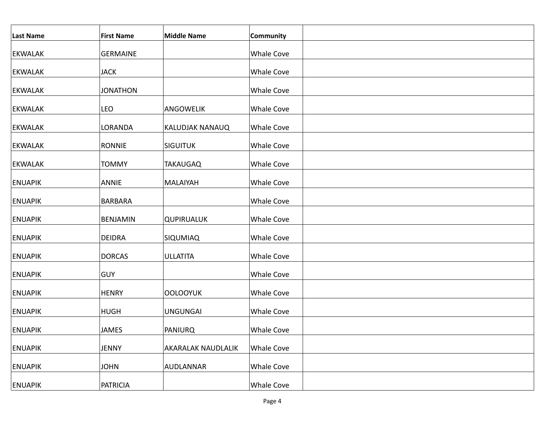| <b>Last Name</b> | <b>First Name</b> | <b>Middle Name</b> | Community         |
|------------------|-------------------|--------------------|-------------------|
| EKWALAK          | <b>GERMAINE</b>   |                    | Whale Cove        |
| <b>EKWALAK</b>   | <b>JACK</b>       |                    | <b>Whale Cove</b> |
| <b>EKWALAK</b>   | <b>JONATHON</b>   |                    | <b>Whale Cove</b> |
| <b>EKWALAK</b>   | LEO               | ANGOWELIK          | <b>Whale Cove</b> |
| EKWALAK          | <b>LORANDA</b>    | KALUDJAK NANAUQ    | <b>Whale Cove</b> |
| <b>EKWALAK</b>   | <b>RONNIE</b>     | <b>SIGUITUK</b>    | <b>Whale Cove</b> |
| <b>EKWALAK</b>   | <b>TOMMY</b>      | <b>TAKAUGAQ</b>    | <b>Whale Cove</b> |
| <b>ENUAPIK</b>   | <b>ANNIE</b>      | MALAIYAH           | <b>Whale Cove</b> |
| <b>ENUAPIK</b>   | <b>BARBARA</b>    |                    | <b>Whale Cove</b> |
| <b>ENUAPIK</b>   | <b>BENJAMIN</b>   | <b>QUPIRUALUK</b>  | <b>Whale Cove</b> |
| <b>ENUAPIK</b>   | <b>DEIDRA</b>     | SIQUMIAQ           | <b>Whale Cove</b> |
| <b>ENUAPIK</b>   | <b>DORCAS</b>     | <b>ULLATITA</b>    | <b>Whale Cove</b> |
| <b>ENUAPIK</b>   | <b>GUY</b>        |                    | Whale Cove        |
| <b>ENUAPIK</b>   | <b>HENRY</b>      | <b>OOLOOYUK</b>    | <b>Whale Cove</b> |
| <b>ENUAPIK</b>   | <b>HUGH</b>       | <b>UNGUNGAI</b>    | <b>Whale Cove</b> |
| <b>ENUAPIK</b>   | <b>JAMES</b>      | PANIURQ            | <b>Whale Cove</b> |
| <b>ENUAPIK</b>   | JENNY             | AKARALAK NAUDLALIK | Whale Cove        |
| <b>ENUAPIK</b>   | <b>JOHN</b>       | <b>AUDLANNAR</b>   | <b>Whale Cove</b> |
| <b>ENUAPIK</b>   | PATRICIA          |                    | <b>Whale Cove</b> |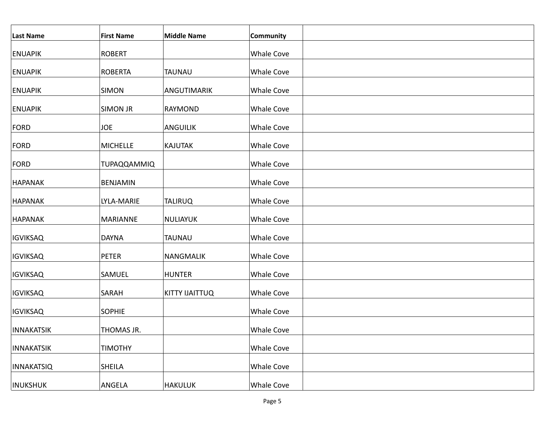| <b>Last Name</b>  | <b>First Name</b>  | <b>Middle Name</b> | Community         |  |
|-------------------|--------------------|--------------------|-------------------|--|
| <b>ENUAPIK</b>    | <b>ROBERT</b>      |                    | <b>Whale Cove</b> |  |
| <b>ENUAPIK</b>    | <b>ROBERTA</b>     | <b>TAUNAU</b>      | <b>Whale Cove</b> |  |
| <b>ENUAPIK</b>    | SIMON              | <b>ANGUTIMARIK</b> | <b>Whale Cove</b> |  |
| <b>ENUAPIK</b>    | <b>SIMON JR</b>    | <b>RAYMOND</b>     | <b>Whale Cove</b> |  |
| <b>FORD</b>       | <b>JOE</b>         | <b>ANGUILIK</b>    | <b>Whale Cove</b> |  |
| <b>FORD</b>       | <b>MICHELLE</b>    | <b>KAJUTAK</b>     | <b>Whale Cove</b> |  |
| <b>FORD</b>       | <b>TUPAQQAMMIQ</b> |                    | <b>Whale Cove</b> |  |
| <b>HAPANAK</b>    | BENJAMIN           |                    | Whale Cove        |  |
| <b>HAPANAK</b>    | LYLA-MARIE         | <b>TALIRUQ</b>     | <b>Whale Cove</b> |  |
| <b>HAPANAK</b>    | <b>MARIANNE</b>    | NULIAYUK           | <b>Whale Cove</b> |  |
| <b>IGVIKSAQ</b>   | <b>DAYNA</b>       | <b>TAUNAU</b>      | <b>Whale Cove</b> |  |
| <b>IGVIKSAQ</b>   | PETER              | NANGMALIK          | <b>Whale Cove</b> |  |
| <b>IGVIKSAQ</b>   | <b>SAMUEL</b>      | <b>HUNTER</b>      | <b>Whale Cove</b> |  |
| <b>IGVIKSAQ</b>   | <b>SARAH</b>       | KITTY IJAITTUQ     | <b>Whale Cove</b> |  |
| <b>IGVIKSAQ</b>   | <b>SOPHIE</b>      |                    | <b>Whale Cove</b> |  |
| <b>INNAKATSIK</b> | THOMAS JR.         |                    | Whale Cove        |  |
| <b>INNAKATSIK</b> | <b>TIMOTHY</b>     |                    | Whale Cove        |  |
| <b>INNAKATSIQ</b> | SHEILA             |                    | Whale Cove        |  |
| <b>INUKSHUK</b>   | ANGELA             | <b>HAKULUK</b>     | Whale Cove        |  |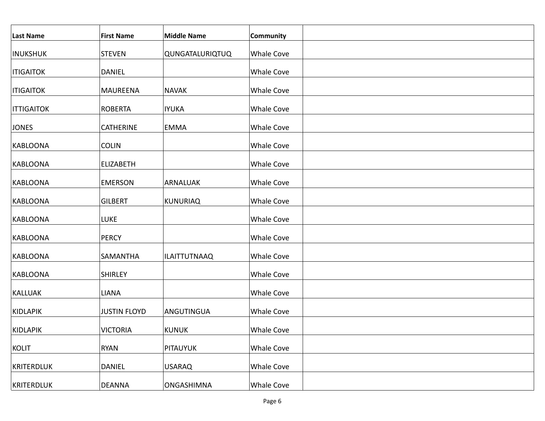| <b>Last Name</b>  | <b>First Name</b>   | <b>Middle Name</b>     | Community         |
|-------------------|---------------------|------------------------|-------------------|
| INUKSHUK          | <b>STEVEN</b>       | <b>QUNGATALURIQTUQ</b> | <b>Whale Cove</b> |
| <b>ITIGAITOK</b>  | <b>DANIEL</b>       |                        | <b>Whale Cove</b> |
| <b>ITIGAITOK</b>  | <b>MAUREENA</b>     | <b>NAVAK</b>           | <b>Whale Cove</b> |
| <b>ITTIGAITOK</b> | <b>ROBERTA</b>      | <b>IYUKA</b>           | <b>Whale Cove</b> |
| JONES             | <b>CATHERINE</b>    | <b>EMMA</b>            | <b>Whale Cove</b> |
| KABLOONA          | <b>COLIN</b>        |                        | <b>Whale Cove</b> |
| KABLOONA          | <b>ELIZABETH</b>    |                        | <b>Whale Cove</b> |
| <b>KABLOONA</b>   | <b>EMERSON</b>      | <b>ARNALUAK</b>        | <b>Whale Cove</b> |
| KABLOONA          | <b>GILBERT</b>      | <b>KUNURIAQ</b>        | <b>Whale Cove</b> |
| KABLOONA          | <b>LUKE</b>         |                        | <b>Whale Cove</b> |
| <b>KABLOONA</b>   | <b>PERCY</b>        |                        | <b>Whale Cove</b> |
| <b>KABLOONA</b>   | SAMANTHA            | <b>ILAITTUTNAAQ</b>    | <b>Whale Cove</b> |
| KABLOONA          | <b>SHIRLEY</b>      |                        | <b>Whale Cove</b> |
| KALLUAK           | <b>LIANA</b>        |                        | <b>Whale Cove</b> |
| KIDLAPIK          | <b>JUSTIN FLOYD</b> | ANGUTINGUA             | <b>Whale Cove</b> |
| KIDLAPIK          | <b>VICTORIA</b>     | KUNUK                  | Whale Cove        |
| KOLIT             | <b>RYAN</b>         | PITAUYUK               | <b>Whale Cove</b> |
| KRITERDLUK        | <b>DANIEL</b>       | <b>USARAQ</b>          | <b>Whale Cove</b> |
| KRITERDLUK        | <b>DEANNA</b>       | ONGASHIMNA             | <b>Whale Cove</b> |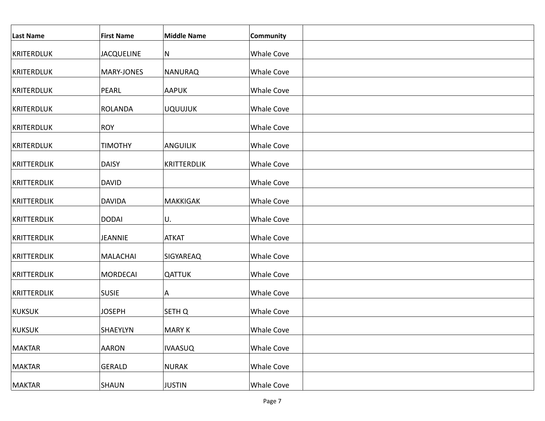| Last Name     | <b>First Name</b> | <b>Middle Name</b> | Community         |  |
|---------------|-------------------|--------------------|-------------------|--|
| KRITERDLUK    | <b>JACQUELINE</b> | N                  | <b>Whale Cove</b> |  |
| KRITERDLUK    | <b>MARY-JONES</b> | <b>NANURAQ</b>     | <b>Whale Cove</b> |  |
| KRITERDLUK    | PEARL             | <b>AAPUK</b>       | <b>Whale Cove</b> |  |
| KRITERDLUK    | <b>ROLANDA</b>    | <b>UQUUJUK</b>     | <b>Whale Cove</b> |  |
| KRITERDLUK    | <b>ROY</b>        |                    | <b>Whale Cove</b> |  |
| KRITERDLUK    | <b>TIMOTHY</b>    | <b>ANGUILIK</b>    | <b>Whale Cove</b> |  |
| KRITTERDLIK   | <b>DAISY</b>      | <b>KRITTERDLIK</b> | <b>Whale Cove</b> |  |
| KRITTERDLIK   | <b>DAVID</b>      |                    | <b>Whale Cove</b> |  |
| KRITTERDLIK   | <b>DAVIDA</b>     | <b>MAKKIGAK</b>    | <b>Whale Cove</b> |  |
| KRITTERDLIK   | <b>DODAI</b>      | U.                 | <b>Whale Cove</b> |  |
| KRITTERDLIK   | <b>JEANNIE</b>    | <b>ATKAT</b>       | <b>Whale Cove</b> |  |
| KRITTERDLIK   | <b>MALACHAI</b>   | SIGYAREAQ          | <b>Whale Cove</b> |  |
| KRITTERDLIK   | <b>MORDECAI</b>   | <b>QATTUK</b>      | <b>Whale Cove</b> |  |
| KRITTERDLIK   | <b>SUSIE</b>      | A                  | <b>Whale Cove</b> |  |
| <b>KUKSUK</b> | <b>JOSEPH</b>     | SETH <sub>Q</sub>  | <b>Whale Cove</b> |  |
| KUKSUK        | SHAEYLYN          | MARY K             | Whale Cove        |  |
| MAKTAR        | <b>AARON</b>      | <b>IVAASUQ</b>     | <b>Whale Cove</b> |  |
| MAKTAR        | <b>GERALD</b>     | <b>NURAK</b>       | <b>Whale Cove</b> |  |
| MAKTAR        | <b>SHAUN</b>      | <b>JUSTIN</b>      | <b>Whale Cove</b> |  |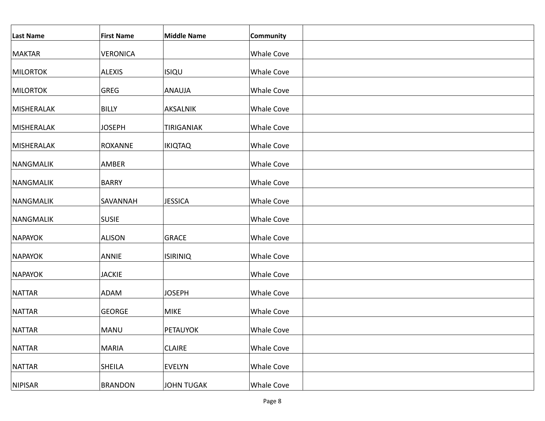| <b>Last Name</b> | <b>First Name</b> | <b>Middle Name</b> | Community         |  |
|------------------|-------------------|--------------------|-------------------|--|
| MAKTAR           | <b>VERONICA</b>   |                    | Whale Cove        |  |
| <b>MILORTOK</b>  | <b>ALEXIS</b>     | <b>ISIQU</b>       | <b>Whale Cove</b> |  |
| <b>MILORTOK</b>  | <b>GREG</b>       | <b>ANAUJA</b>      | <b>Whale Cove</b> |  |
| MISHERALAK       | <b>BILLY</b>      | AKSALNIK           | <b>Whale Cove</b> |  |
| MISHERALAK       | <b>JOSEPH</b>     | <b>TIRIGANIAK</b>  | Whale Cove        |  |
| MISHERALAK       | <b>ROXANNE</b>    | <b>IKIQTAQ</b>     | <b>Whale Cove</b> |  |
| NANGMALIK        | AMBER             |                    | <b>Whale Cove</b> |  |
| NANGMALIK        | <b>BARRY</b>      |                    | <b>Whale Cove</b> |  |
| NANGMALIK        | SAVANNAH          | <b>JESSICA</b>     | <b>Whale Cove</b> |  |
| NANGMALIK        | <b>SUSIE</b>      |                    | <b>Whale Cove</b> |  |
| NAPAYOK          | <b>ALISON</b>     | <b>GRACE</b>       | <b>Whale Cove</b> |  |
| NAPAYOK          | <b>ANNIE</b>      | <b>ISIRINIQ</b>    | <b>Whale Cove</b> |  |
| NAPAYOK          | <b>JACKIE</b>     |                    | Whale Cove        |  |
| NATTAR           | <b>ADAM</b>       | <b>JOSEPH</b>      | Whale Cove        |  |
| NATTAR           | <b>GEORGE</b>     | <b>MIKE</b>        | Whale Cove        |  |
| NATTAR           | <b>MANU</b>       | PETAUYOK           | <b>Whale Cove</b> |  |
| NATTAR           | <b>MARIA</b>      | <b>CLAIRE</b>      | <b>Whale Cove</b> |  |
| NATTAR           | <b>SHEILA</b>     | <b>EVELYN</b>      | <b>Whale Cove</b> |  |
| NIPISAR          | <b>BRANDON</b>    | <b>JOHN TUGAK</b>  | <b>Whale Cove</b> |  |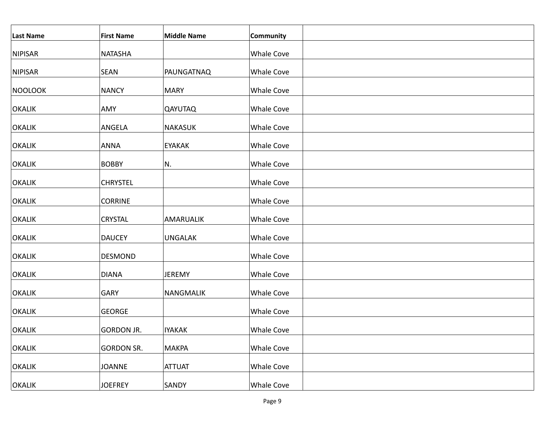| <b>Last Name</b> | <b>First Name</b> | <b>Middle Name</b> | Community         |  |
|------------------|-------------------|--------------------|-------------------|--|
| NIPISAR          | <b>NATASHA</b>    |                    | Whale Cove        |  |
| NIPISAR          | <b>SEAN</b>       | <b>PAUNGATNAQ</b>  | Whale Cove        |  |
| NOOLOOK          | <b>NANCY</b>      | <b>MARY</b>        | <b>Whale Cove</b> |  |
| OKALIK           | AMY               | QAYUTAQ            | Whale Cove        |  |
| OKALIK           | ANGELA            | NAKASUK            | Whale Cove        |  |
| OKALIK           | <b>ANNA</b>       | <b>EYAKAK</b>      | Whale Cove        |  |
| OKALIK           | <b>BOBBY</b>      | N.                 | Whale Cove        |  |
| OKALIK           | <b>CHRYSTEL</b>   |                    | <b>Whale Cove</b> |  |
| OKALIK           | <b>CORRINE</b>    |                    | Whale Cove        |  |
| OKALIK           | <b>CRYSTAL</b>    | AMARUALIK          | <b>Whale Cove</b> |  |
| OKALIK           | <b>DAUCEY</b>     | <b>UNGALAK</b>     | <b>Whale Cove</b> |  |
| OKALIK           | <b>DESMOND</b>    |                    | Whale Cove        |  |
| OKALIK           | <b>DIANA</b>      | <b>JEREMY</b>      | Whale Cove        |  |
| OKALIK           | <b>GARY</b>       | NANGMALIK          | Whale Cove        |  |
| OKALIK           | <b>GEORGE</b>     |                    | Whale Cove        |  |
| OKALIK           | <b>GORDON JR.</b> | <b>IYAKAK</b>      | <b>Whale Cove</b> |  |
| OKALIK           | <b>GORDON SR.</b> | <b>MAKPA</b>       | Whale Cove        |  |
| OKALIK           | <b>JOANNE</b>     | <b>ATTUAT</b>      | <b>Whale Cove</b> |  |
| OKALIK           | <b>JOEFREY</b>    | SANDY              | <b>Whale Cove</b> |  |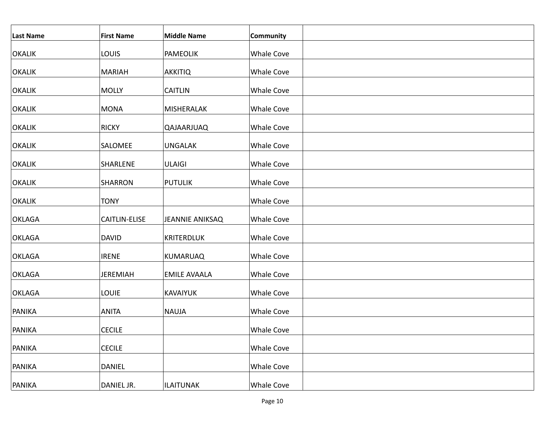| <b>Last Name</b> | <b>First Name</b>    | <b>Middle Name</b>     | Community         |  |
|------------------|----------------------|------------------------|-------------------|--|
| <b>OKALIK</b>    | <b>LOUIS</b>         | <b>PAMEOLIK</b>        | <b>Whale Cove</b> |  |
| <b>OKALIK</b>    | <b>MARIAH</b>        | <b>AKKITIQ</b>         | <b>Whale Cove</b> |  |
| <b>OKALIK</b>    | <b>MOLLY</b>         | CAITLIN                | <b>Whale Cove</b> |  |
| <b>OKALIK</b>    | <b>MONA</b>          | <b>MISHERALAK</b>      | <b>Whale Cove</b> |  |
| <b>OKALIK</b>    | <b>RICKY</b>         | QAJAARJUAQ             | <b>Whale Cove</b> |  |
| <b>OKALIK</b>    | SALOMEE              | <b>UNGALAK</b>         | <b>Whale Cove</b> |  |
| <b>OKALIK</b>    | SHARLENE             | <b>ULAIGI</b>          | <b>Whale Cove</b> |  |
| <b>OKALIK</b>    | <b>SHARRON</b>       | <b>PUTULIK</b>         | <b>Whale Cove</b> |  |
| <b>OKALIK</b>    | <b>TONY</b>          |                        | <b>Whale Cove</b> |  |
| <b>OKLAGA</b>    | <b>CAITLIN-ELISE</b> | <b>JEANNIE ANIKSAQ</b> | <b>Whale Cove</b> |  |
| <b>OKLAGA</b>    | <b>DAVID</b>         | <b>KRITERDLUK</b>      | <b>Whale Cove</b> |  |
| <b>OKLAGA</b>    | <b>IRENE</b>         | <b>KUMARUAQ</b>        | <b>Whale Cove</b> |  |
| <b>OKLAGA</b>    | <b>JEREMIAH</b>      | <b>EMILE AVAALA</b>    | <b>Whale Cove</b> |  |
| <b>OKLAGA</b>    | <b>LOUIE</b>         | <b>KAVAIYUK</b>        | <b>Whale Cove</b> |  |
| PANIKA           | <b>ANITA</b>         | <b>NAUJA</b>           | <b>Whale Cove</b> |  |
| <b>PANIKA</b>    | <b>CECILE</b>        |                        | Whale Cove        |  |
| PANIKA           | <b>CECILE</b>        |                        | <b>Whale Cove</b> |  |
| PANIKA           | <b>DANIEL</b>        |                        | <b>Whale Cove</b> |  |
| PANIKA           | DANIEL JR.           | <b>ILAITUNAK</b>       | <b>Whale Cove</b> |  |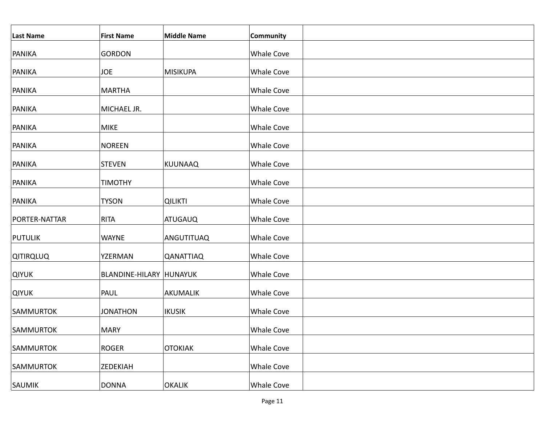| <b>Last Name</b> | <b>First Name</b>              | <b>Middle Name</b> | Community         |
|------------------|--------------------------------|--------------------|-------------------|
| PANIKA           | <b>GORDON</b>                  |                    | Whale Cove        |
| PANIKA           | JOE                            | <b>MISIKUPA</b>    | <b>Whale Cove</b> |
| PANIKA           | <b>MARTHA</b>                  |                    | <b>Whale Cove</b> |
| PANIKA           | MICHAEL JR.                    |                    | Whale Cove        |
| PANIKA           | <b>MIKE</b>                    |                    | Whale Cove        |
| PANIKA           | <b>NOREEN</b>                  |                    | <b>Whale Cove</b> |
| PANIKA           | <b>STEVEN</b>                  | <b>KUUNAAQ</b>     | <b>Whale Cove</b> |
| PANIKA           | <b>TIMOTHY</b>                 |                    | <b>Whale Cove</b> |
| PANIKA           | <b>TYSON</b>                   | <b>QILIKTI</b>     | <b>Whale Cove</b> |
| PORTER-NATTAR    | <b>RITA</b>                    | <b>ATUGAUQ</b>     | <b>Whale Cove</b> |
| PUTULIK          | <b>WAYNE</b>                   | ANGUTITUAQ         | <b>Whale Cove</b> |
| QITIRQLUQ        | <b>YZERMAN</b>                 | QANATTIAQ          | <b>Whale Cove</b> |
| <b>QIYUK</b>     | <b>BLANDINE-HILARY HUNAYUK</b> |                    | Whale Cove        |
| <b>QIYUK</b>     | PAUL                           | AKUMALIK           | Whale Cove        |
| SAMMURTOK        | <b>JONATHON</b>                | <b>IKUSIK</b>      | Whale Cove        |
| <b>SAMMURTOK</b> | <b>MARY</b>                    |                    | <b>Whale Cove</b> |
| <b>SAMMURTOK</b> | <b>ROGER</b>                   | <b>OTOKIAK</b>     | <b>Whale Cove</b> |
| SAMMURTOK        | <b>ZEDEKIAH</b>                |                    | <b>Whale Cove</b> |
| SAUMIK           | <b>DONNA</b>                   | <b>OKALIK</b>      | <b>Whale Cove</b> |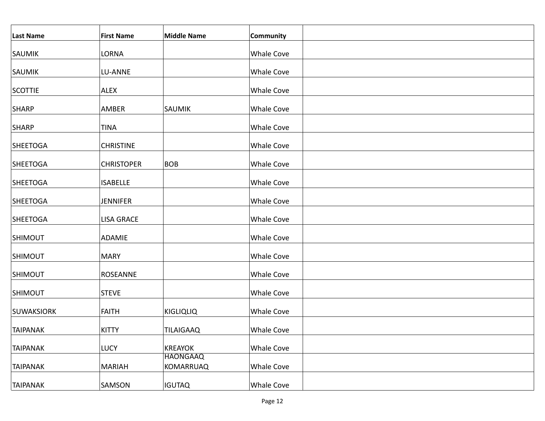| <b>Last Name</b>  | <b>First Name</b> | <b>Middle Name</b>                  | Community         |
|-------------------|-------------------|-------------------------------------|-------------------|
| SAUMIK            | <b>LORNA</b>      |                                     | <b>Whale Cove</b> |
| SAUMIK            | LU-ANNE           |                                     | Whale Cove        |
| <b>SCOTTIE</b>    | <b>ALEX</b>       |                                     | <b>Whale Cove</b> |
| SHARP             | AMBER             | <b>SAUMIK</b>                       | <b>Whale Cove</b> |
| SHARP             | <b>TINA</b>       |                                     | <b>Whale Cove</b> |
| <b>SHEETOGA</b>   | <b>CHRISTINE</b>  |                                     | <b>Whale Cove</b> |
| <b>SHEETOGA</b>   | <b>CHRISTOPER</b> | BOB                                 | <b>Whale Cove</b> |
| <b>SHEETOGA</b>   | <b>ISABELLE</b>   |                                     | <b>Whale Cove</b> |
| <b>SHEETOGA</b>   | <b>JENNIFER</b>   |                                     | Whale Cove        |
| <b>SHEETOGA</b>   | <b>LISA GRACE</b> |                                     | <b>Whale Cove</b> |
| <b>SHIMOUT</b>    | <b>ADAMIE</b>     |                                     | <b>Whale Cove</b> |
| <b>SHIMOUT</b>    | <b>MARY</b>       |                                     | <b>Whale Cove</b> |
| SHIMOUT           | ROSEANNE          |                                     | Whale Cove        |
| <b>SHIMOUT</b>    | <b>STEVE</b>      |                                     | <b>Whale Cove</b> |
| <b>SUWAKSIORK</b> | <b>FAITH</b>      | <b>KIGLIQLIQ</b>                    | Whale Cove        |
| TAIPANAK          | KITTY             | <b>TILAIGAAQ</b>                    | <b>Whale Cove</b> |
| <b>TAIPANAK</b>   | <b>LUCY</b>       | KREAYOK                             | <b>Whale Cove</b> |
| <b>TAIPANAK</b>   | <b>MARIAH</b>     | <b>HAONGAAQ</b><br><b>KOMARRUAQ</b> | <b>Whale Cove</b> |
| <b>TAIPANAK</b>   | SAMSON            | <b>IGUTAQ</b>                       | <b>Whale Cove</b> |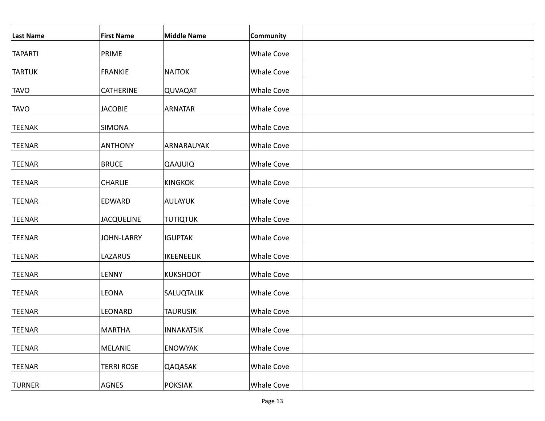| <b>Last Name</b> | <b>First Name</b> | <b>Middle Name</b> | Community         |  |
|------------------|-------------------|--------------------|-------------------|--|
| <b>TAPARTI</b>   | PRIME             |                    | <b>Whale Cove</b> |  |
| <b>TARTUK</b>    | <b>FRANKIE</b>    | <b>NAITOK</b>      | <b>Whale Cove</b> |  |
| <b>TAVO</b>      | <b>CATHERINE</b>  | QUVAQAT            | <b>Whale Cove</b> |  |
| <b>TAVO</b>      | <b>JACOBIE</b>    | <b>ARNATAR</b>     | <b>Whale Cove</b> |  |
| <b>TEENAK</b>    | <b>SIMONA</b>     |                    | <b>Whale Cove</b> |  |
| <b>TEENAR</b>    | <b>ANTHONY</b>    | ARNARAUYAK         | <b>Whale Cove</b> |  |
| <b>TEENAR</b>    | <b>BRUCE</b>      | QAAJUIQ            | <b>Whale Cove</b> |  |
| <b>TEENAR</b>    | <b>CHARLIE</b>    | <b>KINGKOK</b>     | <b>Whale Cove</b> |  |
| <b>TEENAR</b>    | <b>EDWARD</b>     | <b>AULAYUK</b>     | <b>Whale Cove</b> |  |
| <b>TEENAR</b>    | <b>JACQUELINE</b> | <b>TUTIQTUK</b>    | <b>Whale Cove</b> |  |
| <b>TEENAR</b>    | <b>JOHN-LARRY</b> | <b>IGUPTAK</b>     | <b>Whale Cove</b> |  |
| <b>TEENAR</b>    | LAZARUS           | <b>IKEENEELIK</b>  | <b>Whale Cove</b> |  |
| <b>TEENAR</b>    | LENNY             | <b>KUKSHOOT</b>    | <b>Whale Cove</b> |  |
| <b>TEENAR</b>    | LEONA             | SALUQTALIK         | <b>Whale Cove</b> |  |
| <b>TEENAR</b>    | LEONARD           | <b>TAURUSIK</b>    | <b>Whale Cove</b> |  |
| <b>TEENAR</b>    | <b>MARTHA</b>     | INNAKATSIK         | Whale Cove        |  |
| <b>TEENAR</b>    | MELANIE           | <b>ENOWYAK</b>     | <b>Whale Cove</b> |  |
| <b>TEENAR</b>    | <b>TERRI ROSE</b> | QAQASAK            | <b>Whale Cove</b> |  |
| <b>TURNER</b>    | <b>AGNES</b>      | <b>POKSIAK</b>     | Whale Cove        |  |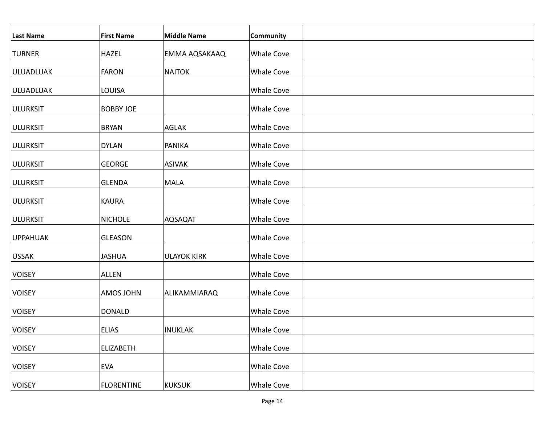| <b>Last Name</b> | <b>First Name</b> | <b>Middle Name</b> | Community         |  |
|------------------|-------------------|--------------------|-------------------|--|
| TURNER           | <b>HAZEL</b>      | EMMA AQSAKAAQ      | <b>Whale Cove</b> |  |
| ULUADLUAK        | <b>FARON</b>      | <b>NAITOK</b>      | <b>Whale Cove</b> |  |
| ULUADLUAK        | <b>LOUISA</b>     |                    | <b>Whale Cove</b> |  |
| ULURKSIT         | <b>BOBBY JOE</b>  |                    | Whale Cove        |  |
| <b>ULURKSIT</b>  | <b>BRYAN</b>      | <b>AGLAK</b>       | <b>Whale Cove</b> |  |
| ULURKSIT         | <b>DYLAN</b>      | <b>PANIKA</b>      | Whale Cove        |  |
| ULURKSIT         | <b>GEORGE</b>     | <b>ASIVAK</b>      | <b>Whale Cove</b> |  |
| ULURKSIT         | <b>GLENDA</b>     | <b>MALA</b>        | <b>Whale Cove</b> |  |
| ULURKSIT         | <b>KAURA</b>      |                    | <b>Whale Cove</b> |  |
| ULURKSIT         | <b>NICHOLE</b>    | <b>AQSAQAT</b>     | <b>Whale Cove</b> |  |
| UPPAHUAK         | <b>GLEASON</b>    |                    | <b>Whale Cove</b> |  |
| USSAK            | <b>JASHUA</b>     | <b>ULAYOK KIRK</b> | <b>Whale Cove</b> |  |
| VOISEY           | <b>ALLEN</b>      |                    | Whale Cove        |  |
| VOISEY           | AMOS JOHN         | ALIKAMMIARAQ       | <b>Whale Cove</b> |  |
| VOISEY           | <b>DONALD</b>     |                    | <b>Whale Cove</b> |  |
| <b>VOISEY</b>    | <b>ELIAS</b>      | <b>INUKLAK</b>     | <b>Whale Cove</b> |  |
| <b>VOISEY</b>    | <b>ELIZABETH</b>  |                    | <b>Whale Cove</b> |  |
| VOISEY           | <b>EVA</b>        |                    | <b>Whale Cove</b> |  |
| VOISEY           | <b>FLORENTINE</b> | KUKSUK             | Whale Cove        |  |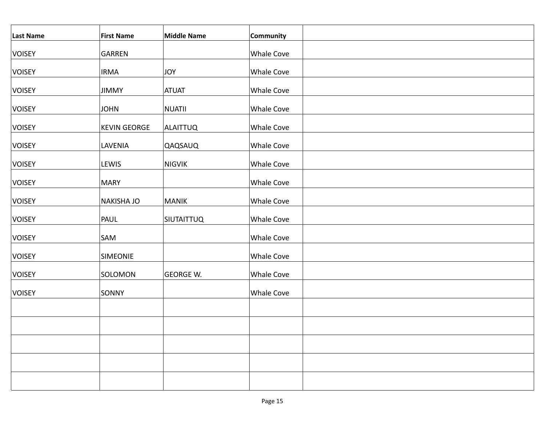| <b>Last Name</b> | <b>First Name</b>   | <b>Middle Name</b> | Community         |
|------------------|---------------------|--------------------|-------------------|
| VOISEY           | <b>GARREN</b>       |                    | <b>Whale Cove</b> |
| VOISEY           | <b>IRMA</b>         | JOY                | <b>Whale Cove</b> |
| VOISEY           | <b>JIMMY</b>        | <b>ATUAT</b>       | <b>Whale Cove</b> |
| VOISEY           | <b>JOHN</b>         | NUATII             | <b>Whale Cove</b> |
| VOISEY           | <b>KEVIN GEORGE</b> | <b>ALAITTUQ</b>    | <b>Whale Cove</b> |
| VOISEY           | LAVENIA             | QAQSAUQ            | <b>Whale Cove</b> |
| VOISEY           | LEWIS               | <b>NIGVIK</b>      | <b>Whale Cove</b> |
| VOISEY           | <b>MARY</b>         |                    | <b>Whale Cove</b> |
| VOISEY           | <b>NAKISHA JO</b>   | <b>MANIK</b>       | <b>Whale Cove</b> |
| VOISEY           | PAUL                | SIUTAITTUQ         | <b>Whale Cove</b> |
| VOISEY           | SAM                 |                    | <b>Whale Cove</b> |
| VOISEY           | <b>SIMEONIE</b>     |                    | <b>Whale Cove</b> |
| VOISEY           | SOLOMON             | GEORGE W.          | <b>Whale Cove</b> |
| VOISEY           | SONNY               |                    | <b>Whale Cove</b> |
|                  |                     |                    |                   |
|                  |                     |                    |                   |
|                  |                     |                    |                   |
|                  |                     |                    |                   |
|                  |                     |                    |                   |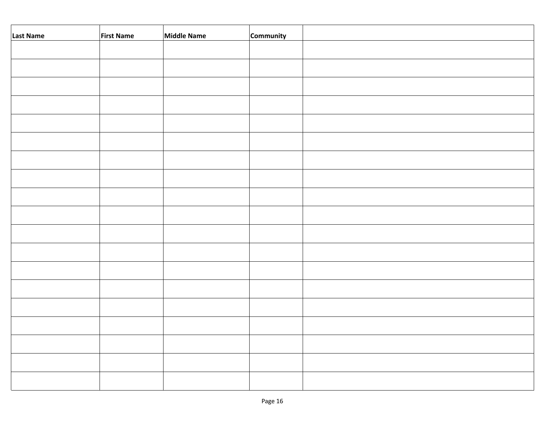| Last Name | <b>First Name</b> | <b>Middle Name</b> | <b>Community</b> |  |
|-----------|-------------------|--------------------|------------------|--|
|           |                   |                    |                  |  |
|           |                   |                    |                  |  |
|           |                   |                    |                  |  |
|           |                   |                    |                  |  |
|           |                   |                    |                  |  |
|           |                   |                    |                  |  |
|           |                   |                    |                  |  |
|           |                   |                    |                  |  |
|           |                   |                    |                  |  |
|           |                   |                    |                  |  |
|           |                   |                    |                  |  |
|           |                   |                    |                  |  |
|           |                   |                    |                  |  |
|           |                   |                    |                  |  |
|           |                   |                    |                  |  |
|           |                   |                    |                  |  |
|           |                   |                    |                  |  |
|           |                   |                    |                  |  |
|           |                   |                    |                  |  |